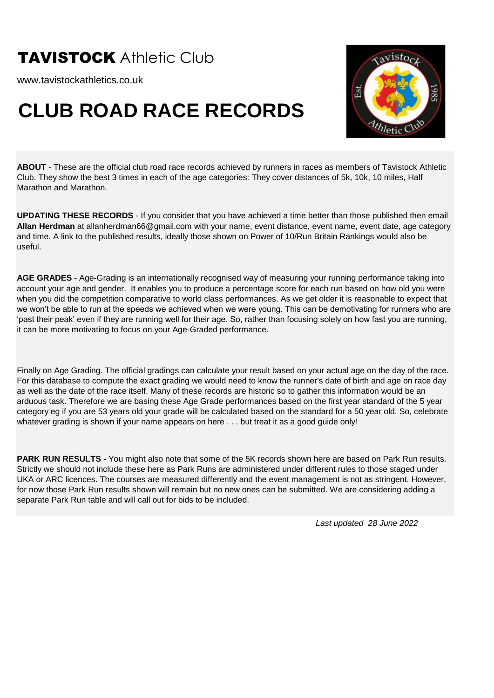www.tavistockathletics.co.uk

### **CLUB ROAD RACE RECORDS**



**ABOUT** - These are the official club road race records achieved by runners in races as members of Tavistock Athletic Club. They show the best 3 times in each of the age categories: They cover distances of 5k, 10k, 10 miles, Half Marathon and Marathon.

**UPDATING THESE RECORDS** - If you consider that you have achieved a time better than those published then email **Allan Herdman** at allanherdman66@gmail.com with your name, event distance, event name, event date, age category and time. A link to the published results, ideally those shown on Power of 10/Run Britain Rankings would also be useful.

**AGE GRADES** - Age-Grading is an internationally recognised way of measuring your running performance taking into account your age and gender. It enables you to produce a percentage score for each run based on how old you were when you did the competition comparative to world class performances. As we get older it is reasonable to expect that we won't be able to run at the speeds we achieved when we were young. This can be demotivating for runners who are 'past their peak' even if they are running well for their age. So, rather than focusing solely on how fast you are running, it can be more motivating to focus on your Age-Graded performance.

Finally on Age Grading. The official gradings can calculate your result based on your actual age on the day of the race. For this database to compute the exact grading we would need to know the runner's date of birth and age on race day as well as the date of the race itself. Many of these records are historic so to gather this information would be an arduous task. Therefore we are basing these Age Grade performances based on the first year standard of the 5 year category eg if you are 53 years old your grade will be calculated based on the standard for a 50 year old. So, celebrate whatever grading is shown if your name appears on here . . . but treat it as a good guide only!

**PARK RUN RESULTS** - You might also note that some of the 5K records shown here are based on Park Run results. Strictly we should not include these here as Park Runs are administered under different rules to those staged under UKA or ARC licences. The courses are measured differently and the event management is not as stringent. However, for now those Park Run results shown will remain but no new ones can be submitted. We are considering adding a separate Park Run table and will call out for bids to be included.

*Last updated 28 June 2022*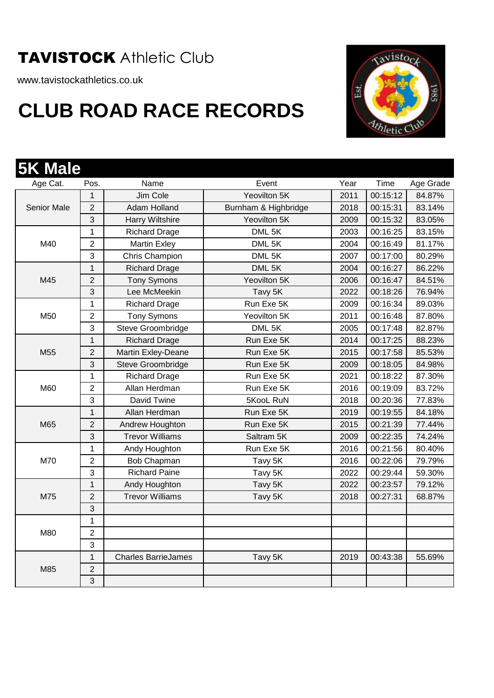www.tavistockathletics.co.uk



| Age Cat.           | Pos.           | Name                       | Event                | Year | Time     | Age Grade |
|--------------------|----------------|----------------------------|----------------------|------|----------|-----------|
|                    | $\mathbf 1$    | Jim Cole                   | Yeovilton 5K         | 2011 | 00:15:12 | 84.87%    |
| <b>Senior Male</b> | $\overline{2}$ | Adam Holland               | Burnham & Highbridge | 2018 | 00:15:31 | 83.14%    |
|                    | 3              | Harry Wiltshire            | Yeovilton 5K         | 2009 | 00:15:32 | 83.05%    |
|                    | 1              | <b>Richard Drage</b>       | DML 5K               | 2003 | 00:16:25 | 83.15%    |
| M40                | $\overline{2}$ | <b>Martin Exley</b>        | DML 5K               | 2004 | 00:16:49 | 81.17%    |
|                    | 3              | Chris Champion             | DML 5K               | 2007 | 00:17:00 | 80.29%    |
|                    | $\mathbf{1}$   | <b>Richard Drage</b>       | DML 5K               | 2004 | 00:16:27 | 86.22%    |
| M45                | $\overline{2}$ | <b>Tony Symons</b>         | Yeovilton 5K         | 2006 | 00:16:47 | 84.51%    |
|                    | 3              | Lee McMeekin               | Tavy 5K              | 2022 | 00:18:26 | 76.94%    |
|                    | 1              | <b>Richard Drage</b>       | Run Exe 5K           | 2009 | 00:16:34 | 89.03%    |
| M50                | $\overline{2}$ | <b>Tony Symons</b>         | Yeovilton 5K         | 2011 | 00:16:48 | 87.80%    |
|                    | 3              | Steve Groombridge          | DML 5K               | 2005 | 00:17:48 | 82.87%    |
|                    | $\mathbf{1}$   | <b>Richard Drage</b>       | Run Exe 5K           | 2014 | 00:17:25 | 88.23%    |
| M55                | 2              | Martin Exley-Deane         | Run Exe 5K           | 2015 | 00:17:58 | 85.53%    |
|                    | 3              | Steve Groombridge          | Run Exe 5K           | 2009 | 00:18:05 | 84.98%    |
|                    | $\mathbf 1$    | <b>Richard Drage</b>       | Run Exe 5K           | 2021 | 00:18:22 | 87.30%    |
| M60                | $\overline{2}$ | Allan Herdman              | Run Exe 5K           | 2016 | 00:19:09 | 83.72%    |
|                    | 3              | David Twine                | 5KooL RuN            | 2018 | 00:20:36 | 77.83%    |
|                    | 1              | Allan Herdman              | Run Exe 5K           | 2019 | 00:19:55 | 84.18%    |
| M65                | $\overline{2}$ | Andrew Houghton            | Run Exe 5K           | 2015 | 00:21:39 | 77.44%    |
|                    | 3              | <b>Trevor Williams</b>     | Saltram 5K           | 2009 | 00:22:35 | 74.24%    |
|                    | 1              | Andy Houghton              | Run Exe 5K           | 2016 | 00:21:56 | 80.40%    |
| M70                | 2              | Bob Chapman                | Tavy 5K              | 2016 | 00:22:06 | 79.79%    |
|                    | 3              | <b>Richard Paine</b>       | Tavy 5K              | 2022 | 00:29:44 | 59.30%    |
|                    | $\overline{1}$ | Andy Houghton              | Tavy 5K              | 2022 | 00:23:57 | 79.12%    |
| M75                | $\overline{2}$ | <b>Trevor Williams</b>     | Tavy 5K              | 2018 | 00:27:31 | 68.87%    |
|                    | 3              |                            |                      |      |          |           |
|                    | 1              |                            |                      |      |          |           |
| M80                | 2              |                            |                      |      |          |           |
|                    | 3              |                            |                      |      |          |           |
|                    | $\mathbf{1}$   | <b>Charles BarrieJames</b> | Tavy 5K              | 2019 | 00:43:38 | 55.69%    |
| M85                | $\overline{2}$ |                            |                      |      |          |           |
|                    | 3              |                            |                      |      |          |           |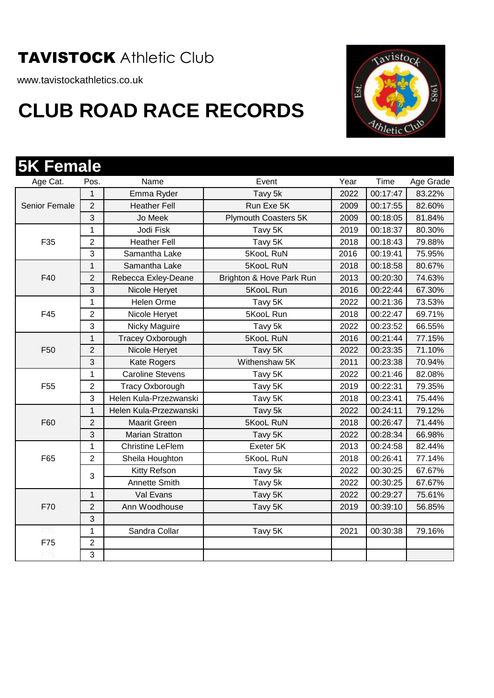www.tavistockathletics.co.uk



| <b>5K Female</b> |                |                         |                             |      |          |           |
|------------------|----------------|-------------------------|-----------------------------|------|----------|-----------|
| Age Cat.         | Pos.           | Name                    | Event                       | Year | Time     | Age Grade |
|                  | 1              | Emma Ryder              | Tavy 5k                     | 2022 | 00:17:47 | 83.22%    |
| Senior Female    | $\overline{2}$ | <b>Heather Fell</b>     | Run Exe 5K                  | 2009 | 00:17:55 | 82.60%    |
|                  | 3              | Jo Meek                 | <b>Plymouth Coasters 5K</b> | 2009 | 00:18:05 | 81.84%    |
|                  | 1              | Jodi Fisk               | Tavy 5K                     | 2019 | 00:18:37 | 80.30%    |
| F35              | $\overline{2}$ | <b>Heather Fell</b>     | Tavy 5K                     | 2018 | 00:18:43 | 79.88%    |
|                  | 3              | Samantha Lake           | 5KooL RuN                   | 2016 | 00:19:41 | 75.95%    |
|                  | $\overline{1}$ | Samantha Lake           | 5KooL RuN                   | 2018 | 00:18:58 | 80.67%    |
| F40              | 2              | Rebecca Exley-Deane     | Brighton & Hove Park Run    | 2013 | 00:20:30 | 74.63%    |
|                  | 3              | Nicole Heryet           | 5KooL Run                   | 2016 | 00:22:44 | 67.30%    |
|                  | 1              | Helen Orme              | Tavy 5K                     | 2022 | 00:21:36 | 73.53%    |
| F45              | 2              | Nicole Heryet           | 5KooL Run                   | 2018 | 00:22:47 | 69.71%    |
|                  | 3              | Nicky Maguire           | Tavy 5k                     | 2022 | 00:23:52 | 66.55%    |
|                  | 1              | <b>Tracey Oxborough</b> | 5KooL RuN                   | 2016 | 00:21:44 | 77.15%    |
| F <sub>50</sub>  | $\overline{2}$ | Nicole Heryet           | Tavy 5K                     | 2022 | 00:23:35 | 71.10%    |
|                  | 3              | <b>Kate Rogers</b>      | Withenshaw 5K               | 2011 | 00:23:38 | 70.94%    |
|                  | 1              | <b>Caroline Stevens</b> | Tavy 5K                     | 2022 | 00:21:46 | 82.08%    |
| F <sub>55</sub>  | $\overline{2}$ | <b>Tracy Oxborough</b>  | Tavy 5K                     | 2019 | 00:22:31 | 79.35%    |
|                  | 3              | Helen Kula-Przezwanski  | Tavy 5K                     | 2018 | 00:23:41 | 75.44%    |
|                  | 1              | Helen Kula-Przezwanski  | Tavy 5k                     | 2022 | 00:24:11 | 79.12%    |
| F60              | $\overline{2}$ | <b>Maarit Green</b>     | 5KooL RuN                   | 2018 | 00:26:47 | 71.44%    |
|                  | 3              | <b>Marian Stratton</b>  | Tavy 5K                     | 2022 | 00:28:34 | 66.98%    |
|                  | $\mathbf{1}$   | <b>Christine LeFlem</b> | Exeter 5K                   | 2013 | 00:24:58 | 82.44%    |
| F65              | $\overline{2}$ | Sheila Houghton         | 5KooL RuN                   | 2018 | 00:26:41 | 77.14%    |
|                  | 3              | Kitty Refson            | Tavy 5k                     | 2022 | 00:30:25 | 67.67%    |
|                  |                | Annette Smith           | Tavy 5k                     | 2022 | 00:30:25 | 67.67%    |
|                  | $\mathbf{1}$   | Val Evans               | Tavy 5K                     | 2022 | 00:29:27 | 75.61%    |
| F70              | $\overline{2}$ | Ann Woodhouse           | Tavy 5K                     | 2019 | 00:39:10 | 56.85%    |
|                  | 3              |                         |                             |      |          |           |
| -75              | $\mathbf{1}$   | Sandra Collar           | Tavy 5K                     | 2021 | 00:30:38 | 79.16%    |
| F75              | $\overline{2}$ |                         |                             |      |          |           |
|                  | 3              |                         |                             |      |          |           |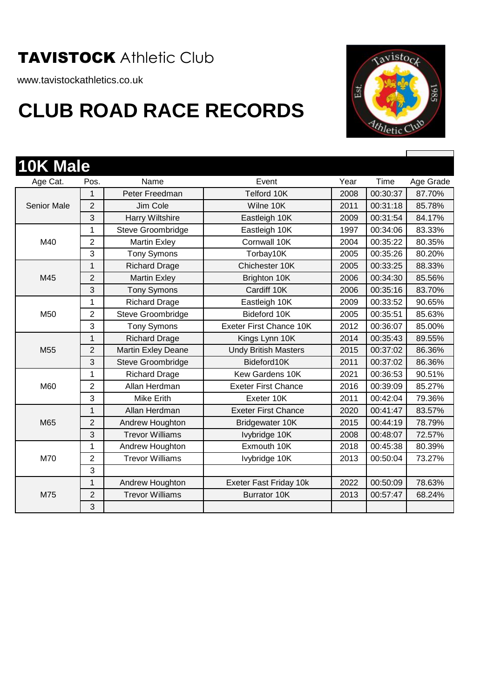www.tavistockathletics.co.uk



| 10K Male           |                |                           |                             |      |          |           |
|--------------------|----------------|---------------------------|-----------------------------|------|----------|-----------|
| Age Cat.           | Pos.           | Name                      | Event                       | Year | Time     | Age Grade |
|                    | 1              | Peter Freedman            | Telford 10K                 | 2008 | 00:30:37 | 87.70%    |
| <b>Senior Male</b> | $\overline{2}$ | Jim Cole                  | Wilne 10K                   | 2011 | 00:31:18 | 85.78%    |
|                    | 3              | <b>Harry Wiltshire</b>    | Eastleigh 10K               | 2009 | 00:31:54 | 84.17%    |
|                    | 1              | Steve Groombridge         | Eastleigh 10K               | 1997 | 00:34:06 | 83.33%    |
| M40                | $\overline{2}$ | <b>Martin Exley</b>       | Cornwall 10K                | 2004 | 00:35:22 | 80.35%    |
|                    | 3              | <b>Tony Symons</b>        | Torbay10K                   | 2005 | 00:35:26 | 80.20%    |
|                    | 1              | <b>Richard Drage</b>      | Chichester 10K              | 2005 | 00:33:25 | 88.33%    |
| M45                | $\overline{2}$ | <b>Martin Exley</b>       | Brighton 10K                | 2006 | 00:34:30 | 85.56%    |
|                    | 3              | <b>Tony Symons</b>        | Cardiff 10K                 | 2006 | 00:35:16 | 83.70%    |
|                    | 1              | <b>Richard Drage</b>      | Eastleigh 10K               | 2009 | 00:33:52 | 90.65%    |
| M50                | $\overline{2}$ | Steve Groombridge         | Bideford 10K                | 2005 | 00:35:51 | 85.63%    |
|                    | 3              | <b>Tony Symons</b>        | Exeter First Chance 10K     | 2012 | 00:36:07 | 85.00%    |
|                    | $\mathbf{1}$   | <b>Richard Drage</b>      | Kings Lynn 10K              | 2014 | 00:35:43 | 89.55%    |
| M <sub>55</sub>    | $\overline{2}$ | <b>Martin Exley Deane</b> | <b>Undy British Masters</b> | 2015 | 00:37:02 | 86.36%    |
|                    | 3              | Steve Groombridge         | Bideford10K                 | 2011 | 00:37:02 | 86.36%    |
|                    | 1              | <b>Richard Drage</b>      | <b>Kew Gardens 10K</b>      | 2021 | 00:36:53 | 90.51%    |
| M60                | $\overline{2}$ | Allan Herdman             | <b>Exeter First Chance</b>  | 2016 | 00:39:09 | 85.27%    |
|                    | 3              | <b>Mike Erith</b>         | Exeter 10K                  | 2011 | 00:42:04 | 79.36%    |
|                    | $\mathbf{1}$   | Allan Herdman             | <b>Exeter First Chance</b>  | 2020 | 00:41:47 | 83.57%    |
| M65                | $\overline{2}$ | Andrew Houghton           | Bridgewater 10K             | 2015 | 00:44:19 | 78.79%    |
|                    | 3              | <b>Trevor Williams</b>    | Ivybridge 10K               | 2008 | 00:48:07 | 72.57%    |
|                    | 1              | Andrew Houghton           | Exmouth 10K                 | 2018 | 00:45:38 | 80.39%    |
| M70                | $\overline{2}$ | <b>Trevor Williams</b>    | Ivybridge 10K               | 2013 | 00:50:04 | 73.27%    |
|                    | 3              |                           |                             |      |          |           |
|                    | $\mathbf 1$    | Andrew Houghton           | Exeter Fast Friday 10k      | 2022 | 00:50:09 | 78.63%    |
| M75                | $\overline{2}$ | <b>Trevor Williams</b>    | <b>Burrator 10K</b>         | 2013 | 00:57:47 | 68.24%    |
|                    | 3              |                           |                             |      |          |           |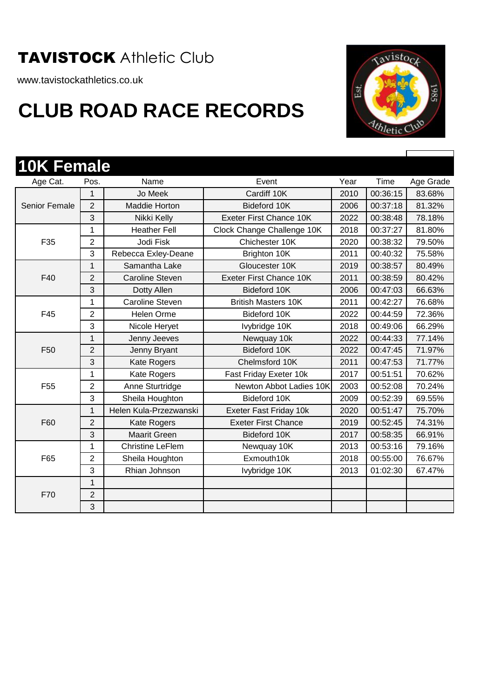www.tavistockathletics.co.uk



| <b>10K Female</b>    |                |                         |                            |      |          |           |
|----------------------|----------------|-------------------------|----------------------------|------|----------|-----------|
| Age Cat.             | Pos.           | Name                    | Event                      | Year | Time     | Age Grade |
|                      | 1              | Jo Meek                 | Cardiff 10K                | 2010 | 00:36:15 | 83.68%    |
| <b>Senior Female</b> | $\overline{2}$ | <b>Maddie Horton</b>    | Bideford 10K               | 2006 | 00:37:18 | 81.32%    |
|                      | 3              | Nikki Kelly             | Exeter First Chance 10K    | 2022 | 00:38:48 | 78.18%    |
|                      | 1              | <b>Heather Fell</b>     | Clock Change Challenge 10K | 2018 | 00:37:27 | 81.80%    |
| F35                  | $\overline{2}$ | Jodi Fisk               | Chichester 10K             | 2020 | 00:38:32 | 79.50%    |
|                      | 3              | Rebecca Exley-Deane     | Brighton 10K               | 2011 | 00:40:32 | 75.58%    |
|                      | 1              | Samantha Lake           | Gloucester 10K             | 2019 | 00:38:57 | 80.49%    |
| F40                  | $\overline{2}$ | <b>Caroline Steven</b>  | Exeter First Chance 10K    | 2011 | 00:38:59 | 80.42%    |
|                      | 3              | Dotty Allen             | Bideford 10K               | 2006 | 00:47:03 | 66.63%    |
|                      | $\mathbf{1}$   | Caroline Steven         | <b>British Masters 10K</b> | 2011 | 00:42:27 | 76.68%    |
| F45                  | $\overline{2}$ | <b>Helen Orme</b>       | Bideford 10K               | 2022 | 00:44:59 | 72.36%    |
|                      | 3              | Nicole Heryet           | Ivybridge 10K              | 2018 | 00:49:06 | 66.29%    |
|                      | $\mathbf{1}$   | Jenny Jeeves            | Newquay 10k                | 2022 | 00:44:33 | 77.14%    |
| F50                  | $\overline{2}$ | Jenny Bryant            | Bideford 10K               | 2022 | 00:47:45 | 71.97%    |
|                      | 3              | <b>Kate Rogers</b>      | Chelmsford 10K             | 2011 | 00:47:53 | 71.77%    |
|                      | 1              | Kate Rogers             | Fast Friday Exeter 10k     | 2017 | 00:51:51 | 70.62%    |
| F <sub>55</sub>      | $\overline{2}$ | Anne Sturtridge         | Newton Abbot Ladies 10K    | 2003 | 00:52:08 | 70.24%    |
|                      | 3              | Sheila Houghton         | Bideford 10K               | 2009 | 00:52:39 | 69.55%    |
|                      | $\mathbf{1}$   | Helen Kula-Przezwanski  | Exeter Fast Friday 10k     | 2020 | 00:51:47 | 75.70%    |
| F60                  | $\overline{2}$ | <b>Kate Rogers</b>      | <b>Exeter First Chance</b> | 2019 | 00:52:45 | 74.31%    |
|                      | 3              | <b>Maarit Green</b>     | Bideford 10K               | 2017 | 00:58:35 | 66.91%    |
|                      | 1              | <b>Christine LeFlem</b> | Newquay 10K                | 2013 | 00:53:16 | 79.16%    |
| F65                  | $\overline{2}$ | Sheila Houghton         | Exmouth10k                 | 2018 | 00:55:00 | 76.67%    |
|                      | 3              | Rhian Johnson           | Ivybridge 10K              | 2013 | 01:02:30 | 67.47%    |
|                      | $\mathbf{1}$   |                         |                            |      |          |           |
| F70                  | $\overline{2}$ |                         |                            |      |          |           |
|                      | 3              |                         |                            |      |          |           |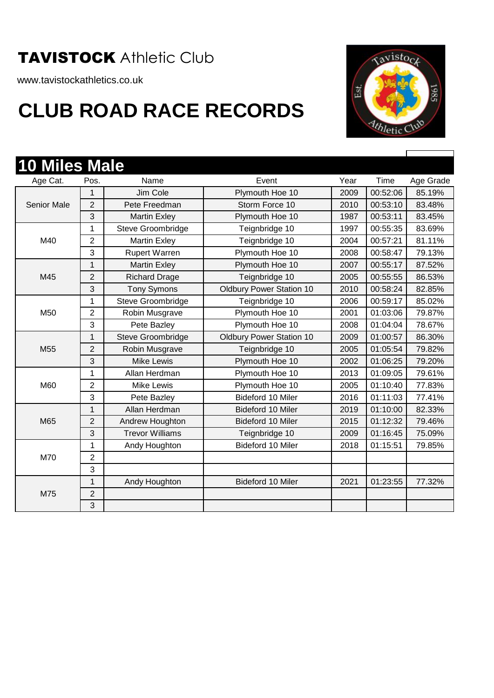www.tavistockathletics.co.uk

## **CLUB ROAD RACE RECORDS**



r

| <b>10 Miles Male</b> |                |                        |                                 |      |          |           |
|----------------------|----------------|------------------------|---------------------------------|------|----------|-----------|
| Age Cat.             | Pos.           | Name                   | Event                           | Year | Time     | Age Grade |
|                      | 1              | Jim Cole               | Plymouth Hoe 10                 | 2009 | 00:52:06 | 85.19%    |
| <b>Senior Male</b>   | $\overline{2}$ | Pete Freedman          | Storm Force 10                  | 2010 | 00:53:10 | 83.48%    |
|                      | 3              | <b>Martin Exley</b>    | Plymouth Hoe 10                 | 1987 | 00:53:11 | 83.45%    |
|                      | 1              | Steve Groombridge      | Teignbridge 10                  | 1997 | 00:55:35 | 83.69%    |
| M40                  | $\overline{2}$ | <b>Martin Exley</b>    | Teignbridge 10                  | 2004 | 00:57:21 | 81.11%    |
|                      | 3              | <b>Rupert Warren</b>   | Plymouth Hoe 10                 | 2008 | 00:58:47 | 79.13%    |
|                      | 1              | <b>Martin Exley</b>    | Plymouth Hoe 10                 | 2007 | 00:55:17 | 87.52%    |
| M45                  | $\overline{2}$ | <b>Richard Drage</b>   | Teignbridge 10                  | 2005 | 00:55:55 | 86.53%    |
|                      | 3              | <b>Tony Symons</b>     | <b>Oldbury Power Station 10</b> | 2010 | 00:58:24 | 82.85%    |
|                      | 1              | Steve Groombridge      | Teignbridge 10                  | 2006 | 00:59:17 | 85.02%    |
| M50                  | $\overline{2}$ | Robin Musgrave         | Plymouth Hoe 10                 | 2001 | 01:03:06 | 79.87%    |
|                      | 3              | Pete Bazley            | Plymouth Hoe 10                 | 2008 | 01:04:04 | 78.67%    |
|                      | 1              | Steve Groombridge      | <b>Oldbury Power Station 10</b> | 2009 | 01:00:57 | 86.30%    |
| M <sub>55</sub>      | $\overline{2}$ | Robin Musgrave         | Teignbridge 10                  | 2005 | 01:05:54 | 79.82%    |
|                      | 3              | <b>Mike Lewis</b>      | Plymouth Hoe 10                 | 2002 | 01:06:25 | 79.20%    |
|                      | 1              | Allan Herdman          | Plymouth Hoe 10                 | 2013 | 01:09:05 | 79.61%    |
| M60                  | $\overline{2}$ | <b>Mike Lewis</b>      | Plymouth Hoe 10                 | 2005 | 01:10:40 | 77.83%    |
|                      | 3              | Pete Bazley            | Bideford 10 Miler               | 2016 | 01:11:03 | 77.41%    |
|                      | 1              | Allan Herdman          | Bideford 10 Miler               | 2019 | 01:10:00 | 82.33%    |
| M65                  | $\overline{2}$ | Andrew Houghton        | Bideford 10 Miler               | 2015 | 01:12:32 | 79.46%    |
|                      | 3              | <b>Trevor Williams</b> | Teignbridge 10                  | 2009 | 01:16:45 | 75.09%    |
|                      | 1              | Andy Houghton          | Bideford 10 Miler               | 2018 | 01:15:51 | 79.85%    |
| M70                  | $\overline{2}$ |                        |                                 |      |          |           |
|                      | 3              |                        |                                 |      |          |           |
|                      | 1              | Andy Houghton          | Bideford 10 Miler               | 2021 | 01:23:55 | 77.32%    |
| M75                  | $\overline{2}$ |                        |                                 |      |          |           |
|                      | 3              |                        |                                 |      |          |           |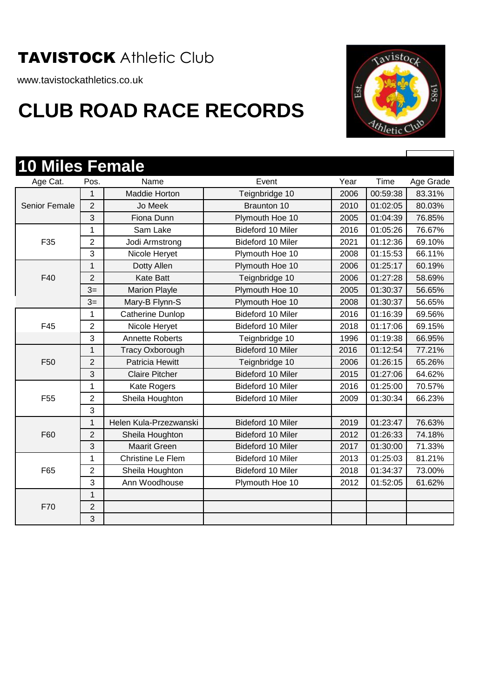www.tavistockathletics.co.uk



| <b>10 Miles Female</b> |                |                        |                   |      |          |           |
|------------------------|----------------|------------------------|-------------------|------|----------|-----------|
| Age Cat.               | Pos.           | Name                   | Event             | Year | Time     | Age Grade |
|                        | 1              | Maddie Horton          | Teignbridge 10    | 2006 | 00:59:38 | 83.31%    |
| Senior Female          | $\overline{2}$ | Jo Meek                | Braunton 10       | 2010 | 01:02:05 | 80.03%    |
|                        | 3              | Fiona Dunn             | Plymouth Hoe 10   | 2005 | 01:04:39 | 76.85%    |
|                        | 1              | Sam Lake               | Bideford 10 Miler | 2016 | 01:05:26 | 76.67%    |
| F35                    | $\overline{2}$ | Jodi Armstrong         | Bideford 10 Miler | 2021 | 01:12:36 | 69.10%    |
|                        | 3              | Nicole Heryet          | Plymouth Hoe 10   | 2008 | 01:15:53 | 66.11%    |
|                        | $\mathbf{1}$   | Dotty Allen            | Plymouth Hoe 10   | 2006 | 01:25:17 | 60.19%    |
| F40                    | $\overline{2}$ | <b>Kate Batt</b>       | Teignbridge 10    | 2006 | 01:27:28 | 58.69%    |
|                        | $3=$           | <b>Marion Playle</b>   | Plymouth Hoe 10   | 2005 | 01:30:37 | 56.65%    |
|                        | $3=$           | Mary-B Flynn-S         | Plymouth Hoe 10   | 2008 | 01:30:37 | 56.65%    |
|                        | 1              | Catherine Dunlop       | Bideford 10 Miler | 2016 | 01:16:39 | 69.56%    |
| F45                    | $\overline{2}$ | Nicole Heryet          | Bideford 10 Miler | 2018 | 01:17:06 | 69.15%    |
|                        | 3              | <b>Annette Roberts</b> | Teignbridge 10    | 1996 | 01:19:38 | 66.95%    |
|                        | $\mathbf{1}$   | <b>Tracy Oxborough</b> | Bideford 10 Miler | 2016 | 01:12:54 | 77.21%    |
| F <sub>50</sub>        | $\overline{2}$ | Patricia Hewitt        | Teignbridge 10    | 2006 | 01:26:15 | 65.26%    |
|                        | 3              | <b>Claire Pitcher</b>  | Bideford 10 Miler | 2015 | 01:27:06 | 64.62%    |
|                        | 1              | Kate Rogers            | Bideford 10 Miler | 2016 | 01:25:00 | 70.57%    |
| F <sub>55</sub>        | $\overline{2}$ | Sheila Houghton        | Bideford 10 Miler | 2009 | 01:30:34 | 66.23%    |
|                        | 3              |                        |                   |      |          |           |
|                        | $\mathbf{1}$   | Helen Kula-Przezwanski | Bideford 10 Miler | 2019 | 01:23:47 | 76.63%    |
| F60                    | $\overline{2}$ | Sheila Houghton        | Bideford 10 Miler | 2012 | 01:26:33 | 74.18%    |
|                        | 3              | <b>Maarit Green</b>    | Bideford 10 Miler | 2017 | 01:30:00 | 71.33%    |
|                        | $\mathbf{1}$   | Christine Le Flem      | Bideford 10 Miler | 2013 | 01:25:03 | 81.21%    |
| F65                    | $\overline{c}$ | Sheila Houghton        | Bideford 10 Miler | 2018 | 01:34:37 | 73.00%    |
|                        | 3              | Ann Woodhouse          | Plymouth Hoe 10   | 2012 | 01:52:05 | 61.62%    |
|                        | $\mathbf{1}$   |                        |                   |      |          |           |
| F70                    | $\overline{2}$ |                        |                   |      |          |           |
|                        | 3              |                        |                   |      |          |           |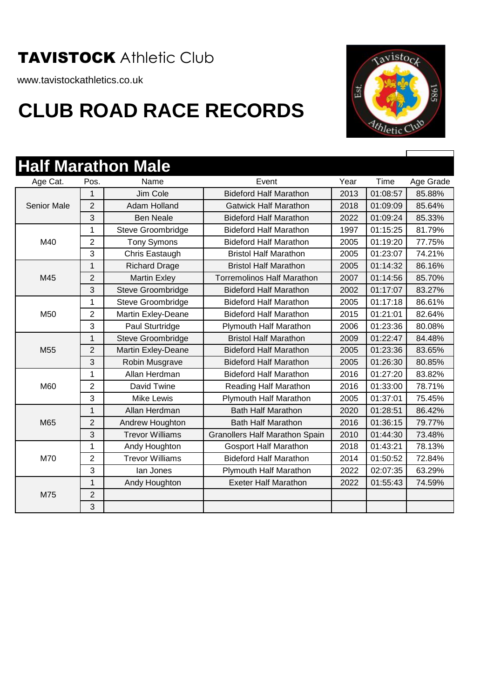www.tavistockathletics.co.uk

## **CLUB ROAD RACE RECORDS**



ľ

|                    |                | <b>Half Marathon Male</b> |                                       |      |          |           |
|--------------------|----------------|---------------------------|---------------------------------------|------|----------|-----------|
| Age Cat.           | Pos.           | Name                      | Event                                 | Year | Time     | Age Grade |
|                    | 1              | Jim Cole                  | <b>Bideford Half Marathon</b>         | 2013 | 01:08:57 | 85.88%    |
| <b>Senior Male</b> | $\overline{2}$ | Adam Holland              | <b>Gatwick Half Marathon</b>          | 2018 | 01:09:09 | 85.64%    |
|                    | 3              | <b>Ben Neale</b>          | <b>Bideford Half Marathon</b>         | 2022 | 01:09:24 | 85.33%    |
|                    | $\mathbf{1}$   | Steve Groombridge         | <b>Bideford Half Marathon</b>         | 1997 | 01:15:25 | 81.79%    |
| M40                | $\overline{2}$ | <b>Tony Symons</b>        | <b>Bideford Half Marathon</b>         | 2005 | 01:19:20 | 77.75%    |
|                    | 3              | Chris Eastaugh            | <b>Bristol Half Marathon</b>          | 2005 | 01:23:07 | 74.21%    |
|                    | 1              | <b>Richard Drage</b>      | <b>Bristol Half Marathon</b>          | 2005 | 01:14:32 | 86.16%    |
| M45                | $\overline{2}$ | <b>Martin Exley</b>       | <b>Torremolinos Half Marathon</b>     | 2007 | 01:14:56 | 85.70%    |
|                    | 3              | Steve Groombridge         | <b>Bideford Half Marathon</b>         | 2002 | 01:17:07 | 83.27%    |
|                    | 1              | Steve Groombridge         | <b>Bideford Half Marathon</b>         | 2005 | 01:17:18 | 86.61%    |
| M50                | $\overline{2}$ | Martin Exley-Deane        | <b>Bideford Half Marathon</b>         | 2015 | 01:21:01 | 82.64%    |
|                    | 3              | Paul Sturtridge           | Plymouth Half Marathon                | 2006 | 01:23:36 | 80.08%    |
|                    | 1              | Steve Groombridge         | <b>Bristol Half Marathon</b>          | 2009 | 01:22:47 | 84.48%    |
| M <sub>55</sub>    | $\overline{2}$ | <b>Martin Exley-Deane</b> | <b>Bideford Half Marathon</b>         | 2005 | 01:23:36 | 83.65%    |
|                    | 3              | Robin Musgrave            | <b>Bideford Half Marathon</b>         | 2005 | 01:26:30 | 80.85%    |
|                    | 1              | Allan Herdman             | <b>Bideford Half Marathon</b>         | 2016 | 01:27:20 | 83.82%    |
| M60                | $\overline{2}$ | David Twine               | Reading Half Marathon                 | 2016 | 01:33:00 | 78.71%    |
|                    | 3              | <b>Mike Lewis</b>         | Plymouth Half Marathon                | 2005 | 01:37:01 | 75.45%    |
|                    | 1              | Allan Herdman             | <b>Bath Half Marathon</b>             | 2020 | 01:28:51 | 86.42%    |
| M65                | $\overline{2}$ | Andrew Houghton           | <b>Bath Half Marathon</b>             | 2016 | 01:36:15 | 79.77%    |
|                    | 3              | <b>Trevor Williams</b>    | <b>Granollers Half Marathon Spain</b> | 2010 | 01:44:30 | 73.48%    |
|                    | 1              | Andy Houghton             | <b>Gosport Half Marathon</b>          | 2018 | 01:43:21 | 78.13%    |
| M70                | $\overline{2}$ | <b>Trevor Williams</b>    | <b>Bideford Half Marathon</b>         | 2014 | 01:50:52 | 72.84%    |
|                    | 3              | lan Jones                 | Plymouth Half Marathon                | 2022 | 02:07:35 | 63.29%    |
|                    | $\mathbf{1}$   | Andy Houghton             | <b>Exeter Half Marathon</b>           | 2022 | 01:55:43 | 74.59%    |
| M75                | $\overline{2}$ |                           |                                       |      |          |           |
|                    | 3              |                           |                                       |      |          |           |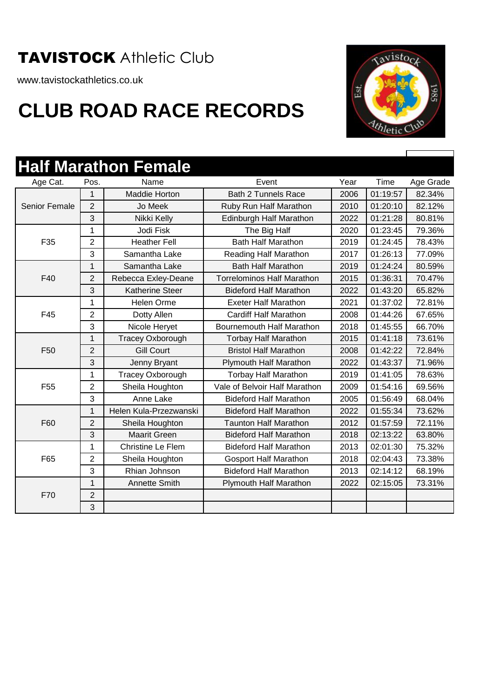www.tavistockathletics.co.uk



|                      |                | <b>Half Marathon Female</b> |                                   |      |          |           |
|----------------------|----------------|-----------------------------|-----------------------------------|------|----------|-----------|
| Age Cat.             | Pos.           | Name                        | Event                             | Year | Time     | Age Grade |
|                      | 1              | Maddie Horton               | <b>Bath 2 Tunnels Race</b>        | 2006 | 01:19:57 | 82.34%    |
| <b>Senior Female</b> | $\overline{2}$ | Jo Meek                     | Ruby Run Half Marathon            | 2010 | 01:20:10 | 82.12%    |
|                      | 3              | Nikki Kelly                 | Edinburgh Half Marathon           | 2022 | 01:21:28 | 80.81%    |
|                      | 1              | Jodi Fisk                   | The Big Half                      | 2020 | 01:23:45 | 79.36%    |
| F35                  | $\overline{2}$ | <b>Heather Fell</b>         | <b>Bath Half Marathon</b>         | 2019 | 01:24:45 | 78.43%    |
|                      | 3              | Samantha Lake               | Reading Half Marathon             | 2017 | 01:26:13 | 77.09%    |
|                      | 1              | Samantha Lake               | <b>Bath Half Marathon</b>         | 2019 | 01:24:24 | 80.59%    |
| F40                  | $\overline{2}$ | Rebecca Exley-Deane         | <b>Torrelominos Half Marathon</b> | 2015 | 01:36:31 | 70.47%    |
|                      | 3              | <b>Katherine Steer</b>      | <b>Bideford Half Marathon</b>     | 2022 | 01:43:20 | 65.82%    |
|                      | 1              | <b>Helen Orme</b>           | <b>Exeter Half Marathon</b>       | 2021 | 01:37:02 | 72.81%    |
| F45                  | $\overline{2}$ | Dotty Allen                 | <b>Cardiff Half Marathon</b>      | 2008 | 01:44:26 | 67.65%    |
|                      | 3              | Nicole Heryet               | <b>Bournemouth Half Marathon</b>  | 2018 | 01:45:55 | 66.70%    |
|                      | $\mathbf{1}$   | <b>Tracey Oxborough</b>     | <b>Torbay Half Marathon</b>       | 2015 | 01:41:18 | 73.61%    |
| F <sub>50</sub>      | $\overline{2}$ | <b>Gill Court</b>           | <b>Bristol Half Marathon</b>      | 2008 | 01:42:22 | 72.84%    |
|                      | 3              | Jenny Bryant                | Plymouth Half Marathon            | 2022 | 01:43:37 | 71.96%    |
|                      | 1              | <b>Tracey Oxborough</b>     | <b>Torbay Half Marathon</b>       | 2019 | 01:41:05 | 78.63%    |
| F <sub>55</sub>      | $\overline{2}$ | Sheila Houghton             | Vale of Belvoir Half Marathon     | 2009 | 01:54:16 | 69.56%    |
|                      | 3              | Anne Lake                   | <b>Bideford Half Marathon</b>     | 2005 | 01:56:49 | 68.04%    |
|                      | $\mathbf{1}$   | Helen Kula-Przezwanski      | <b>Bideford Half Marathon</b>     | 2022 | 01:55:34 | 73.62%    |
| F60                  | $\overline{2}$ | Sheila Houghton             | <b>Taunton Half Marathon</b>      | 2012 | 01:57:59 | 72.11%    |
|                      | 3              | <b>Maarit Green</b>         | <b>Bideford Half Marathon</b>     | 2018 | 02:13:22 | 63.80%    |
|                      | 1              | <b>Christine Le Flem</b>    | <b>Bideford Half Marathon</b>     | 2013 | 02:01:30 | 75.32%    |
| F65                  | $\overline{c}$ | Sheila Houghton             | <b>Gosport Half Marathon</b>      | 2018 | 02:04:43 | 73.38%    |
|                      | 3              | Rhian Johnson               | <b>Bideford Half Marathon</b>     | 2013 | 02:14:12 | 68.19%    |
|                      | 1              | <b>Annette Smith</b>        | Plymouth Half Marathon            | 2022 | 02:15:05 | 73.31%    |
| F70                  | $\overline{2}$ |                             |                                   |      |          |           |
|                      | 3              |                             |                                   |      |          |           |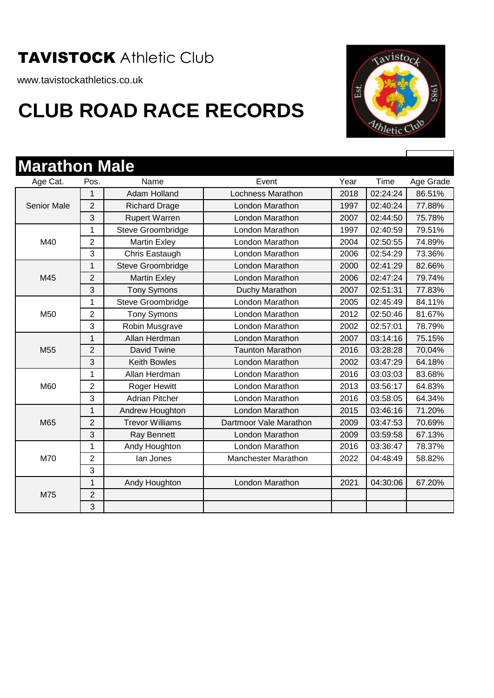www.tavistockathletics.co.uk



| <b>Marathon Male</b> |                |                        |                            |      |          |           |
|----------------------|----------------|------------------------|----------------------------|------|----------|-----------|
| Age Cat.             | Pos.           | Name                   | Event                      | Year | Time     | Age Grade |
|                      | 1              | Adam Holland           | <b>Lochness Marathon</b>   | 2018 | 02:24:24 | 86.51%    |
| <b>Senior Male</b>   | $\overline{2}$ | <b>Richard Drage</b>   | London Marathon            | 1997 | 02:40:24 | 77.88%    |
|                      | 3              | <b>Rupert Warren</b>   | London Marathon            | 2007 | 02:44:50 | 75.78%    |
|                      | 1              | Steve Groombridge      | London Marathon            | 1997 | 02:40:59 | 79.51%    |
| M40                  | $\overline{2}$ | <b>Martin Exley</b>    | <b>London Marathon</b>     | 2004 | 02:50:55 | 74.89%    |
|                      | 3              | Chris Eastaugh         | London Marathon            | 2006 | 02:54:29 | 73.36%    |
|                      | $\mathbf{1}$   | Steve Groombridge      | <b>London Marathon</b>     | 2000 | 02:41:29 | 82.66%    |
| M45                  | $\overline{2}$ | <b>Martin Exley</b>    | <b>London Marathon</b>     | 2006 | 02:47:24 | 79.74%    |
|                      | 3              | <b>Tony Symons</b>     | Duchy Marathon             | 2007 | 02:51:31 | 77.83%    |
|                      | 1              | Steve Groombridge      | London Marathon            | 2005 | 02:45:49 | 84.11%    |
| M50                  | $\overline{2}$ | <b>Tony Symons</b>     | London Marathon            | 2012 | 02:50:46 | 81.67%    |
|                      | 3              | Robin Musgrave         | London Marathon            | 2002 | 02:57:01 | 78.79%    |
|                      | $\mathbf{1}$   | Allan Herdman          | London Marathon            | 2007 | 03:14:16 | 75.15%    |
| M55                  | $\overline{2}$ | David Twine            | <b>Taunton Marathon</b>    | 2016 | 03:28:28 | 70.04%    |
|                      | 3              | <b>Keith Bowles</b>    | London Marathon            | 2002 | 03:47:29 | 64.18%    |
|                      | 1              | Allan Herdman          | London Marathon            | 2016 | 03:03:03 | 83.68%    |
| M60                  | $\overline{2}$ | <b>Roger Hewitt</b>    | London Marathon            | 2013 | 03:56:17 | 64.83%    |
|                      | 3              | <b>Adrian Pitcher</b>  | London Marathon            | 2016 | 03:58:05 | 64.34%    |
|                      | 1              | Andrew Houghton        | London Marathon            | 2015 | 03:46:16 | 71.20%    |
| M65                  | $\overline{2}$ | <b>Trevor Williams</b> | Dartmoor Vale Marathon     | 2009 | 03:47:53 | 70.69%    |
|                      | 3              | Ray Bennett            | London Marathon            | 2009 | 03:59:58 | 67.13%    |
|                      | 1              | Andy Houghton          | London Marathon            | 2016 | 03:36:47 | 78.37%    |
| M70                  | $\overline{2}$ | lan Jones              | <b>Manchester Marathon</b> | 2022 | 04:48:49 | 58.82%    |
|                      | 3              |                        |                            |      |          |           |
|                      | 1              | Andy Houghton          | London Marathon            | 2021 | 04:30:06 | 67.20%    |
| M75                  | 2              |                        |                            |      |          |           |
|                      | 3              |                        |                            |      |          |           |